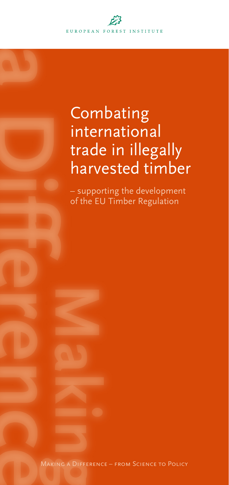

# Combating international trade in illegally harvested timber

– supporting the development of the EU Timber Regulation

Making a Difference – from Science to Policy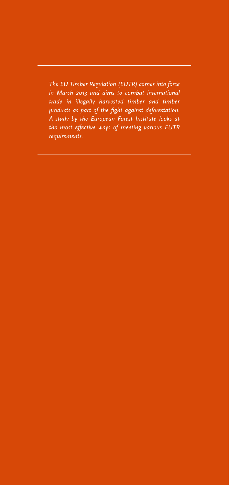*The EU Timber Regulation (EUTR) comes into force in March 2013 and aims to combat international trade in illegally harvested timber and timber products as part of the fight against deforestation. A study by the European Forest Institute looks at the most effective ways of meeting various EUTR requirements.*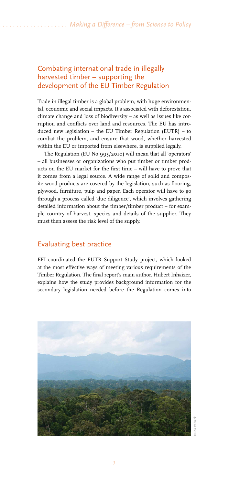## Combating international trade in illegally harvested timber – supporting the development of the EU Timber Regulation

Trade in illegal timber is a global problem, with huge environmental, economic and social impacts. It's associated with deforestation, climate change and loss of biodiversity – as well as issues like corruption and conflicts over land and resources. The EU has introduced new legislation – the EU Timber Regulation (EUTR) – to combat the problem, and ensure that wood, whether harvested within the EU or imported from elsewhere, is supplied legally.

The Regulation (EU No 995/2010) will mean that all 'operators' – all businesses or organizations who put timber or timber products on the EU market for the first time – will have to prove that it comes from a legal source. A wide range of solid and composite wood products are covered by the legislation, such as flooring, plywood, furniture, pulp and paper. Each operator will have to go through a process called 'due diligence', which involves gathering detailed information about the timber/timber product – for example country of harvest, species and details of the supplier. They must then assess the risk level of the supply.

### Evaluating best practice

EFI coordinated the EUTR Support Study project, which looked at the most effective ways of meeting various requirements of the Timber Regulation. The final report's main author, Hubert Inhaizer, explains how the study provides background information for the secondary legislation needed before the Regulation comes into



Niina Verkerk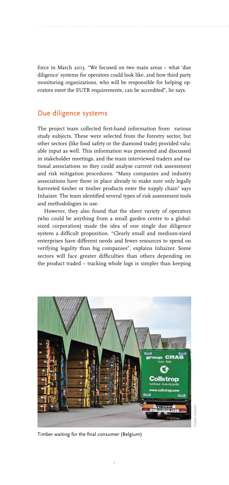force in March 2013. "We focused on two main areas – what 'due diligence' systems for operators could look like, and how third party monitoring organizations, who will be responsible for helping operators meet the EUTR requirements, can be accredited", he says.

*. . . . . . . . . . . . . . . . . . . . . . . . . . . . . . . . . . . . . . . . . . . . . . . . . . . . . . . . . . . . . . . . . . . . . . . . . . . Making a Difference – from Science to Policy*

#### Due diligence systems

The project team collected first-hand information from various study subjects. These were selected from the forestry sector, but other sectors (like food safety or the diamond trade) provided valuable input as well. This information was presented and discussed in stakeholder meetings, and the team interviewed traders and national associations so they could analyse current risk assessment and risk mitigation procedures. "Many companies and industry associations have these in place already to make sure only legally harvested timber or timber products enter the supply chain" says Inhaizer. The team identified several types of risk assessment tools and methodologies in use.

However, they also found that the sheer variety of operators (who could be anything from a small garden centre to a globalsized corporation) made the idea of one single due diligence system a difficult proposition. "Clearly small and medium-sized enterprises have different needs and fewer resources to spend on verifying legality than big companies", explains Inhaizer. Some sectors will face greater difficulties than others depending on the product traded – tracking whole logs is simpler than keeping



Timber waiting for the final consumer (Belgium)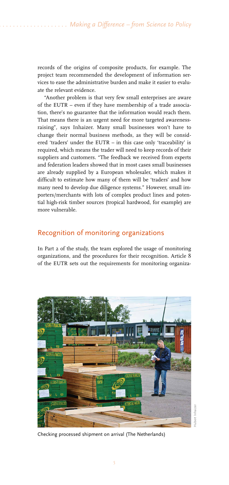records of the origins of composite products, for example. The project team recommended the development of information services to ease the administrative burden and make it easier to evaluate the relevant evidence.

"Another problem is that very few small enterprises are aware of the EUTR – even if they have membership of a trade association, there's no guarantee that the information would reach them. That means there is an urgent need for more targeted awarenessraising", says Inhaizer. Many small businesses won't have to change their normal business methods, as they will be considered 'traders' under the EUTR – in this case only 'traceability' is required, which means the trader will need to keep records of their suppliers and customers. "The feedback we received from experts and federation leaders showed that in most cases small businesses are already supplied by a European wholesaler, which makes it difficult to estimate how many of them will be 'traders' and how many need to develop due diligence systems." However, small importers/merchants with lots of complex product lines and potential high-risk timber sources (tropical hardwood, for example) are more vulnerable.

#### Recognition of monitoring organizations

In Part 2 of the study, the team explored the usage of monitoring organizations, and the procedures for their recognition. Article 8 of the EUTR sets out the requirements for monitoring organiza-



Checking processed shipment on arrival (The Netherlands)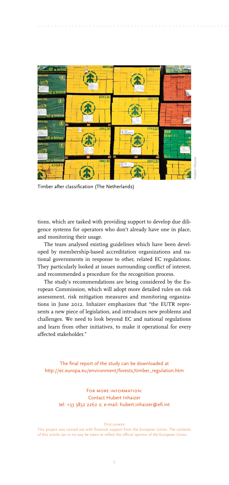

*. . . . . . . . . . . . . . . . . . . . . . . . . . . . . . . . . . . . . . . . . . . . . . . . . . . . . . . . . . . . . . . . . . . . . . . . . . . Making a Difference – from Science to Policy*

Timber after classification (The Netherlands)

tions, which are tasked with providing support to develop due diligence systems for operators who don't already have one in place, and monitoring their usage.

The team analysed existing guidelines which have been developed by membership-based accreditation organizations and national governments in response to other, related EC regulations. They particularly looked at issues surrounding conflict of interest, and recommended a procedure for the recognition process.

The study's recommendations are being considered by the European Commission, which will adopt more detailed rules on risk assessment, risk mitigation measures and monitoring organizations in June 2012. Inhaizer emphasizes that "the EUTR represents a new piece of legislation, and introduces new problems and challenges. We need to look beyond EC and national regulations and learn from other initiatives, to make it operational for every affected stakeholder."

The final report of the study can be downloaded at http://ec.europa.eu/environment/forests/timber\_regulation.htm

> FOR MORE INFORMATION: Contact Hubert Inhaizer tel: +33 3832 2262 2; e-mail: hubert.inhaizer@efi.int

> > **DISCLAIMER**

This project was carried out with financial support from the European Union. The contents of this article can in no way be taken to reflect the official opinion of the European Union.